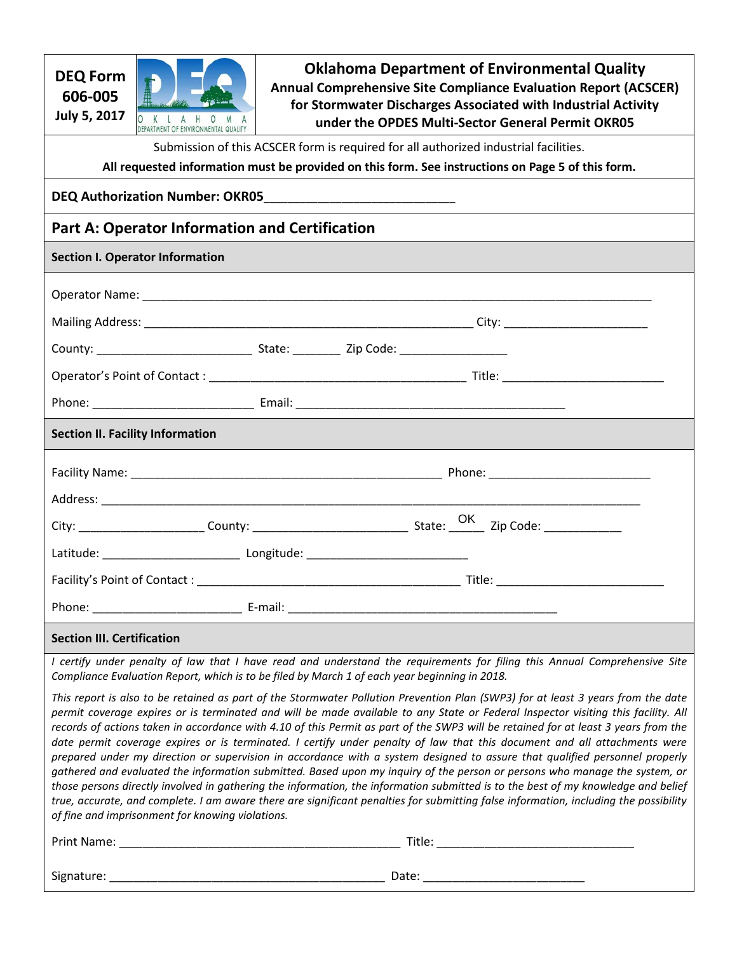| <b>DEQ Form</b><br>606-005<br><b>July 5, 2017</b>                                                 | $\Omega$<br>ENVIRONMENTAL QUALITY                | <b>Oklahoma Department of Environmental Quality</b><br>Annual Comprehensive Site Compliance Evaluation Report (ACSCER)<br>for Stormwater Discharges Associated with Industrial Activity<br>under the OPDES Multi-Sector General Permit OKR05                                                                                                                                                                                                                                                                                                                                                                                                                                                                                                                                                                                                                                                                                                                                                                                                                                       |  |  |  |  |  |  |
|---------------------------------------------------------------------------------------------------|--------------------------------------------------|------------------------------------------------------------------------------------------------------------------------------------------------------------------------------------------------------------------------------------------------------------------------------------------------------------------------------------------------------------------------------------------------------------------------------------------------------------------------------------------------------------------------------------------------------------------------------------------------------------------------------------------------------------------------------------------------------------------------------------------------------------------------------------------------------------------------------------------------------------------------------------------------------------------------------------------------------------------------------------------------------------------------------------------------------------------------------------|--|--|--|--|--|--|
| Submission of this ACSCER form is required for all authorized industrial facilities.              |                                                  |                                                                                                                                                                                                                                                                                                                                                                                                                                                                                                                                                                                                                                                                                                                                                                                                                                                                                                                                                                                                                                                                                    |  |  |  |  |  |  |
| All requested information must be provided on this form. See instructions on Page 5 of this form. |                                                  |                                                                                                                                                                                                                                                                                                                                                                                                                                                                                                                                                                                                                                                                                                                                                                                                                                                                                                                                                                                                                                                                                    |  |  |  |  |  |  |
|                                                                                                   |                                                  |                                                                                                                                                                                                                                                                                                                                                                                                                                                                                                                                                                                                                                                                                                                                                                                                                                                                                                                                                                                                                                                                                    |  |  |  |  |  |  |
|                                                                                                   |                                                  | <b>Part A: Operator Information and Certification</b>                                                                                                                                                                                                                                                                                                                                                                                                                                                                                                                                                                                                                                                                                                                                                                                                                                                                                                                                                                                                                              |  |  |  |  |  |  |
|                                                                                                   | <b>Section I. Operator Information</b>           |                                                                                                                                                                                                                                                                                                                                                                                                                                                                                                                                                                                                                                                                                                                                                                                                                                                                                                                                                                                                                                                                                    |  |  |  |  |  |  |
|                                                                                                   |                                                  |                                                                                                                                                                                                                                                                                                                                                                                                                                                                                                                                                                                                                                                                                                                                                                                                                                                                                                                                                                                                                                                                                    |  |  |  |  |  |  |
|                                                                                                   |                                                  |                                                                                                                                                                                                                                                                                                                                                                                                                                                                                                                                                                                                                                                                                                                                                                                                                                                                                                                                                                                                                                                                                    |  |  |  |  |  |  |
|                                                                                                   |                                                  |                                                                                                                                                                                                                                                                                                                                                                                                                                                                                                                                                                                                                                                                                                                                                                                                                                                                                                                                                                                                                                                                                    |  |  |  |  |  |  |
|                                                                                                   |                                                  |                                                                                                                                                                                                                                                                                                                                                                                                                                                                                                                                                                                                                                                                                                                                                                                                                                                                                                                                                                                                                                                                                    |  |  |  |  |  |  |
|                                                                                                   |                                                  |                                                                                                                                                                                                                                                                                                                                                                                                                                                                                                                                                                                                                                                                                                                                                                                                                                                                                                                                                                                                                                                                                    |  |  |  |  |  |  |
|                                                                                                   |                                                  |                                                                                                                                                                                                                                                                                                                                                                                                                                                                                                                                                                                                                                                                                                                                                                                                                                                                                                                                                                                                                                                                                    |  |  |  |  |  |  |
|                                                                                                   | <b>Section II. Facility Information</b>          |                                                                                                                                                                                                                                                                                                                                                                                                                                                                                                                                                                                                                                                                                                                                                                                                                                                                                                                                                                                                                                                                                    |  |  |  |  |  |  |
|                                                                                                   |                                                  |                                                                                                                                                                                                                                                                                                                                                                                                                                                                                                                                                                                                                                                                                                                                                                                                                                                                                                                                                                                                                                                                                    |  |  |  |  |  |  |
|                                                                                                   |                                                  |                                                                                                                                                                                                                                                                                                                                                                                                                                                                                                                                                                                                                                                                                                                                                                                                                                                                                                                                                                                                                                                                                    |  |  |  |  |  |  |
|                                                                                                   |                                                  |                                                                                                                                                                                                                                                                                                                                                                                                                                                                                                                                                                                                                                                                                                                                                                                                                                                                                                                                                                                                                                                                                    |  |  |  |  |  |  |
|                                                                                                   |                                                  |                                                                                                                                                                                                                                                                                                                                                                                                                                                                                                                                                                                                                                                                                                                                                                                                                                                                                                                                                                                                                                                                                    |  |  |  |  |  |  |
|                                                                                                   |                                                  |                                                                                                                                                                                                                                                                                                                                                                                                                                                                                                                                                                                                                                                                                                                                                                                                                                                                                                                                                                                                                                                                                    |  |  |  |  |  |  |
|                                                                                                   |                                                  |                                                                                                                                                                                                                                                                                                                                                                                                                                                                                                                                                                                                                                                                                                                                                                                                                                                                                                                                                                                                                                                                                    |  |  |  |  |  |  |
| <b>Section III. Certification</b>                                                                 |                                                  |                                                                                                                                                                                                                                                                                                                                                                                                                                                                                                                                                                                                                                                                                                                                                                                                                                                                                                                                                                                                                                                                                    |  |  |  |  |  |  |
|                                                                                                   |                                                  | I certify under penalty of law that I have read and understand the requirements for filing this Annual Comprehensive Site<br>Compliance Evaluation Report, which is to be filed by March 1 of each year beginning in 2018.                                                                                                                                                                                                                                                                                                                                                                                                                                                                                                                                                                                                                                                                                                                                                                                                                                                         |  |  |  |  |  |  |
|                                                                                                   | of fine and imprisonment for knowing violations. | This report is also to be retained as part of the Stormwater Pollution Prevention Plan (SWP3) for at least 3 years from the date<br>permit coverage expires or is terminated and will be made available to any State or Federal Inspector visiting this facility. All<br>records of actions taken in accordance with 4.10 of this Permit as part of the SWP3 will be retained for at least 3 years from the<br>date permit coverage expires or is terminated. I certify under penalty of law that this document and all attachments were<br>prepared under my direction or supervision in accordance with a system designed to assure that qualified personnel properly<br>gathered and evaluated the information submitted. Based upon my inquiry of the person or persons who manage the system, or<br>those persons directly involved in gathering the information, the information submitted is to the best of my knowledge and belief<br>true, accurate, and complete. I am aware there are significant penalties for submitting false information, including the possibility |  |  |  |  |  |  |
|                                                                                                   |                                                  |                                                                                                                                                                                                                                                                                                                                                                                                                                                                                                                                                                                                                                                                                                                                                                                                                                                                                                                                                                                                                                                                                    |  |  |  |  |  |  |
|                                                                                                   |                                                  |                                                                                                                                                                                                                                                                                                                                                                                                                                                                                                                                                                                                                                                                                                                                                                                                                                                                                                                                                                                                                                                                                    |  |  |  |  |  |  |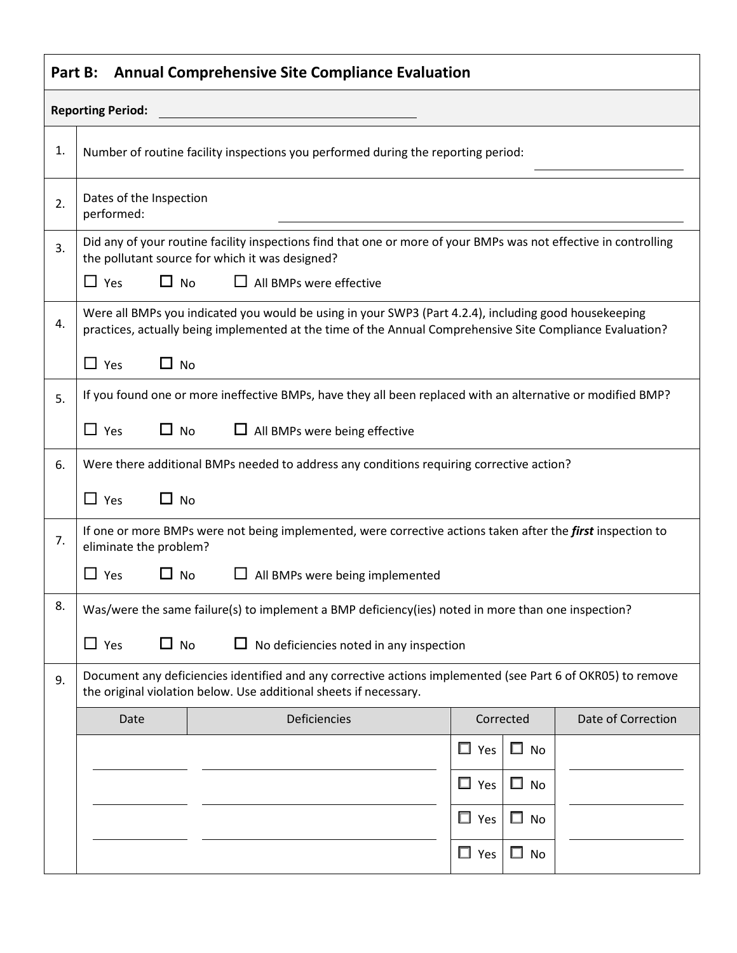| <b>Annual Comprehensive Site Compliance Evaluation</b><br>Part B: |                                                                                                                                                                                                                    |                                                                                                                    |                                   |                    |  |  |  |  |
|-------------------------------------------------------------------|--------------------------------------------------------------------------------------------------------------------------------------------------------------------------------------------------------------------|--------------------------------------------------------------------------------------------------------------------|-----------------------------------|--------------------|--|--|--|--|
| <b>Reporting Period:</b>                                          |                                                                                                                                                                                                                    |                                                                                                                    |                                   |                    |  |  |  |  |
| 1.                                                                | Number of routine facility inspections you performed during the reporting period:                                                                                                                                  |                                                                                                                    |                                   |                    |  |  |  |  |
| 2.                                                                | Dates of the Inspection<br>performed:                                                                                                                                                                              |                                                                                                                    |                                   |                    |  |  |  |  |
| 3.                                                                | Did any of your routine facility inspections find that one or more of your BMPs was not effective in controlling<br>the pollutant source for which it was designed?                                                |                                                                                                                    |                                   |                    |  |  |  |  |
|                                                                   | $\Box$ Yes<br>$\Box$ No<br>$\mathsf{L}$<br>All BMPs were effective                                                                                                                                                 |                                                                                                                    |                                   |                    |  |  |  |  |
| 4.                                                                | Were all BMPs you indicated you would be using in your SWP3 (Part 4.2.4), including good housekeeping<br>practices, actually being implemented at the time of the Annual Comprehensive Site Compliance Evaluation? |                                                                                                                    |                                   |                    |  |  |  |  |
|                                                                   | $\Box$ Yes<br>$\Box$ No                                                                                                                                                                                            |                                                                                                                    |                                   |                    |  |  |  |  |
| 5.                                                                | If you found one or more ineffective BMPs, have they all been replaced with an alternative or modified BMP?                                                                                                        |                                                                                                                    |                                   |                    |  |  |  |  |
|                                                                   | $\Box$ Yes<br>$\Box$ All BMPs were being effective<br>$\Box$ No                                                                                                                                                    |                                                                                                                    |                                   |                    |  |  |  |  |
| 6.                                                                |                                                                                                                                                                                                                    | Were there additional BMPs needed to address any conditions requiring corrective action?                           |                                   |                    |  |  |  |  |
|                                                                   | $\Box$ Yes<br>$\Box$ No                                                                                                                                                                                            |                                                                                                                    |                                   |                    |  |  |  |  |
| 7.                                                                | eliminate the problem?                                                                                                                                                                                             | If one or more BMPs were not being implemented, were corrective actions taken after the <i>first</i> inspection to |                                   |                    |  |  |  |  |
|                                                                   | All BMPs were being implemented<br>$\Box$ Yes<br>$\Box$ No                                                                                                                                                         |                                                                                                                    |                                   |                    |  |  |  |  |
| 8.                                                                | Was/were the same failure(s) to implement a BMP deficiency(ies) noted in more than one inspection?                                                                                                                 |                                                                                                                    |                                   |                    |  |  |  |  |
|                                                                   | $\Box$ Yes<br>$\square$ No<br>No deficiencies noted in any inspection                                                                                                                                              |                                                                                                                    |                                   |                    |  |  |  |  |
| 9.                                                                | Document any deficiencies identified and any corrective actions implemented (see Part 6 of OKR05) to remove<br>the original violation below. Use additional sheets if necessary.                                   |                                                                                                                    |                                   |                    |  |  |  |  |
|                                                                   | Date                                                                                                                                                                                                               | <b>Deficiencies</b>                                                                                                | Corrected                         | Date of Correction |  |  |  |  |
|                                                                   |                                                                                                                                                                                                                    |                                                                                                                    | $\Box$<br>No<br>$\Box$ Yes        |                    |  |  |  |  |
|                                                                   |                                                                                                                                                                                                                    |                                                                                                                    | $\Box$ Yes<br>$\Box$<br><b>No</b> |                    |  |  |  |  |
|                                                                   |                                                                                                                                                                                                                    |                                                                                                                    | $\Box$ Yes<br>ப<br><b>No</b>      |                    |  |  |  |  |
|                                                                   |                                                                                                                                                                                                                    |                                                                                                                    | $\Box$ Yes<br>$\square$ No        |                    |  |  |  |  |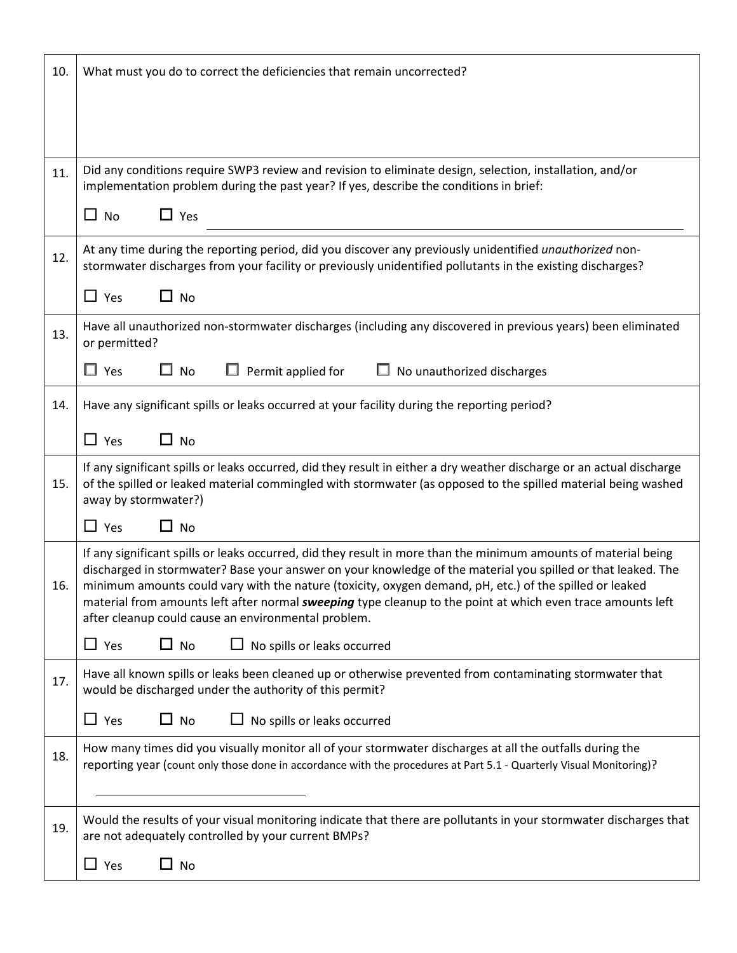| 10. | What must you do to correct the deficiencies that remain uncorrected?                                                                                                                                                                                                                                                                                                                                                                                                                                                   |  |  |  |  |  |  |
|-----|-------------------------------------------------------------------------------------------------------------------------------------------------------------------------------------------------------------------------------------------------------------------------------------------------------------------------------------------------------------------------------------------------------------------------------------------------------------------------------------------------------------------------|--|--|--|--|--|--|
|     |                                                                                                                                                                                                                                                                                                                                                                                                                                                                                                                         |  |  |  |  |  |  |
| 11. | Did any conditions require SWP3 review and revision to eliminate design, selection, installation, and/or<br>implementation problem during the past year? If yes, describe the conditions in brief:                                                                                                                                                                                                                                                                                                                      |  |  |  |  |  |  |
|     | $\Box$ Yes<br>$\Box$ No                                                                                                                                                                                                                                                                                                                                                                                                                                                                                                 |  |  |  |  |  |  |
| 12. | At any time during the reporting period, did you discover any previously unidentified <i>unauthorized</i> non-<br>stormwater discharges from your facility or previously unidentified pollutants in the existing discharges?                                                                                                                                                                                                                                                                                            |  |  |  |  |  |  |
|     | $\Box$ Yes<br>$\Box$ No                                                                                                                                                                                                                                                                                                                                                                                                                                                                                                 |  |  |  |  |  |  |
| 13. | Have all unauthorized non-stormwater discharges (including any discovered in previous years) been eliminated<br>or permitted?                                                                                                                                                                                                                                                                                                                                                                                           |  |  |  |  |  |  |
|     | $\Box$ Yes<br>$\square$ No<br>Permit applied for<br>No unauthorized discharges                                                                                                                                                                                                                                                                                                                                                                                                                                          |  |  |  |  |  |  |
| 14. | Have any significant spills or leaks occurred at your facility during the reporting period?                                                                                                                                                                                                                                                                                                                                                                                                                             |  |  |  |  |  |  |
|     | $\Box$ Yes<br>$\Box$ No                                                                                                                                                                                                                                                                                                                                                                                                                                                                                                 |  |  |  |  |  |  |
| 15. | If any significant spills or leaks occurred, did they result in either a dry weather discharge or an actual discharge<br>of the spilled or leaked material commingled with stormwater (as opposed to the spilled material being washed<br>away by stormwater?)                                                                                                                                                                                                                                                          |  |  |  |  |  |  |
|     | $\Box$ Yes<br>$\Box$ No                                                                                                                                                                                                                                                                                                                                                                                                                                                                                                 |  |  |  |  |  |  |
| 16. | If any significant spills or leaks occurred, did they result in more than the minimum amounts of material being<br>discharged in stormwater? Base your answer on your knowledge of the material you spilled or that leaked. The<br>minimum amounts could vary with the nature (toxicity, oxygen demand, pH, etc.) of the spilled or leaked<br>material from amounts left after normal <i>sweeping</i> type cleanup to the point at which even trace amounts left<br>after cleanup could cause an environmental problem. |  |  |  |  |  |  |
|     | $\Box$ Yes<br>$\Box$ No<br>No spills or leaks occurred                                                                                                                                                                                                                                                                                                                                                                                                                                                                  |  |  |  |  |  |  |
| 17. | Have all known spills or leaks been cleaned up or otherwise prevented from contaminating stormwater that<br>would be discharged under the authority of this permit?                                                                                                                                                                                                                                                                                                                                                     |  |  |  |  |  |  |
|     | $\square$ Yes<br>No spills or leaks occurred<br>$\Box$ No                                                                                                                                                                                                                                                                                                                                                                                                                                                               |  |  |  |  |  |  |
| 18. | How many times did you visually monitor all of your stormwater discharges at all the outfalls during the<br>reporting year (count only those done in accordance with the procedures at Part 5.1 - Quarterly Visual Monitoring)?                                                                                                                                                                                                                                                                                         |  |  |  |  |  |  |
| 19. | Would the results of your visual monitoring indicate that there are pollutants in your stormwater discharges that<br>are not adequately controlled by your current BMPs?                                                                                                                                                                                                                                                                                                                                                |  |  |  |  |  |  |
|     | $\Box$ Yes<br>$\Box$ No                                                                                                                                                                                                                                                                                                                                                                                                                                                                                                 |  |  |  |  |  |  |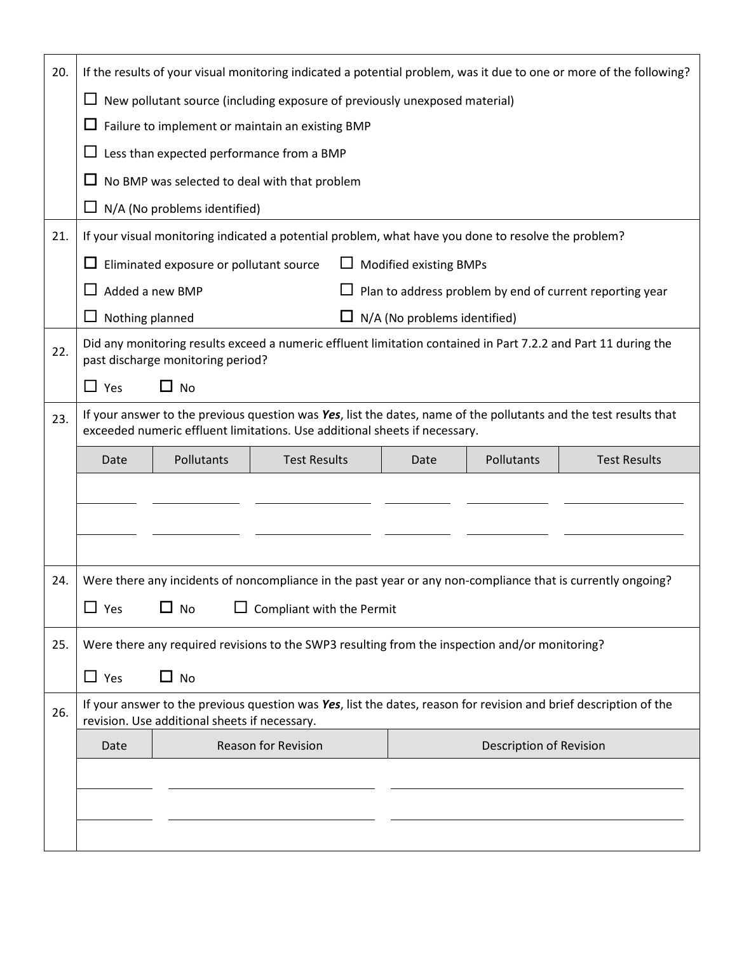| 20. | If the results of your visual monitoring indicated a potential problem, was it due to one or more of the following?                                                                             |                                                                             |                                                                                                             |      |            |                     |  |  |  |
|-----|-------------------------------------------------------------------------------------------------------------------------------------------------------------------------------------------------|-----------------------------------------------------------------------------|-------------------------------------------------------------------------------------------------------------|------|------------|---------------------|--|--|--|
|     | New pollutant source (including exposure of previously unexposed material)<br>⊔                                                                                                                 |                                                                             |                                                                                                             |      |            |                     |  |  |  |
|     | $\Box$<br>Failure to implement or maintain an existing BMP                                                                                                                                      |                                                                             |                                                                                                             |      |            |                     |  |  |  |
|     | Less than expected performance from a BMP<br>ப                                                                                                                                                  |                                                                             |                                                                                                             |      |            |                     |  |  |  |
|     | ப                                                                                                                                                                                               |                                                                             | No BMP was selected to deal with that problem                                                               |      |            |                     |  |  |  |
|     | ப                                                                                                                                                                                               | N/A (No problems identified)                                                |                                                                                                             |      |            |                     |  |  |  |
| 21. | If your visual monitoring indicated a potential problem, what have you done to resolve the problem?                                                                                             |                                                                             |                                                                                                             |      |            |                     |  |  |  |
|     | Eliminated exposure or pollutant source<br><b>Modified existing BMPs</b><br>$\Box$                                                                                                              |                                                                             |                                                                                                             |      |            |                     |  |  |  |
|     | ⊔                                                                                                                                                                                               | Added a new BMP<br>Plan to address problem by end of current reporting year |                                                                                                             |      |            |                     |  |  |  |
|     | ப                                                                                                                                                                                               | Nothing planned<br>N/A (No problems identified)<br>ப                        |                                                                                                             |      |            |                     |  |  |  |
| 22. | Did any monitoring results exceed a numeric effluent limitation contained in Part 7.2.2 and Part 11 during the<br>past discharge monitoring period?                                             |                                                                             |                                                                                                             |      |            |                     |  |  |  |
|     | $\Box$ Yes                                                                                                                                                                                      | $\Box$ No                                                                   |                                                                                                             |      |            |                     |  |  |  |
| 23. | If your answer to the previous question was Yes, list the dates, name of the pollutants and the test results that<br>exceeded numeric effluent limitations. Use additional sheets if necessary. |                                                                             |                                                                                                             |      |            |                     |  |  |  |
|     | Date                                                                                                                                                                                            | Pollutants                                                                  | <b>Test Results</b>                                                                                         | Date | Pollutants | <b>Test Results</b> |  |  |  |
|     |                                                                                                                                                                                                 |                                                                             |                                                                                                             |      |            |                     |  |  |  |
|     |                                                                                                                                                                                                 |                                                                             |                                                                                                             |      |            |                     |  |  |  |
|     |                                                                                                                                                                                                 |                                                                             |                                                                                                             |      |            |                     |  |  |  |
| 24. |                                                                                                                                                                                                 |                                                                             | Were there any incidents of noncompliance in the past year or any non-compliance that is currently ongoing? |      |            |                     |  |  |  |
|     | $\square$ Yes                                                                                                                                                                                   | No                                                                          | Compliant with the Permit                                                                                   |      |            |                     |  |  |  |
| 25. | Were there any required revisions to the SWP3 resulting from the inspection and/or monitoring?                                                                                                  |                                                                             |                                                                                                             |      |            |                     |  |  |  |
|     | $\Box$ Yes                                                                                                                                                                                      | $\Box$ No                                                                   |                                                                                                             |      |            |                     |  |  |  |
| 26. | If your answer to the previous question was Yes, list the dates, reason for revision and brief description of the<br>revision. Use additional sheets if necessary.                              |                                                                             |                                                                                                             |      |            |                     |  |  |  |
|     | Date                                                                                                                                                                                            | <b>Reason for Revision</b><br>Description of Revision                       |                                                                                                             |      |            |                     |  |  |  |
|     |                                                                                                                                                                                                 |                                                                             |                                                                                                             |      |            |                     |  |  |  |
|     |                                                                                                                                                                                                 |                                                                             |                                                                                                             |      |            |                     |  |  |  |
|     |                                                                                                                                                                                                 |                                                                             |                                                                                                             |      |            |                     |  |  |  |
|     |                                                                                                                                                                                                 |                                                                             |                                                                                                             |      |            |                     |  |  |  |